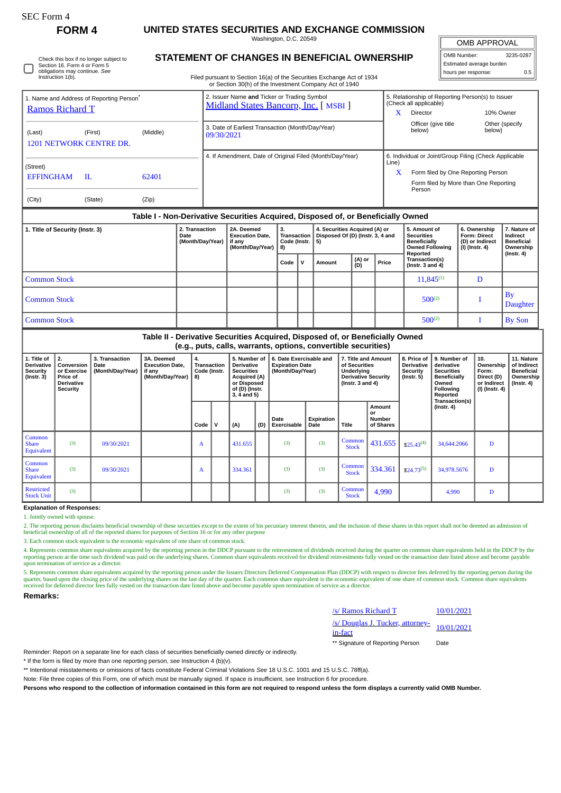Check this box if no longer subject to Section 16. Form 4 or Form 5 obligations may continue. *See* Instruction 1(b).

## **FORM 4 UNITED STATES SECURITIES AND EXCHANGE COMMISSION**

Washington, D.C. 20549

OMB APPROVAL

| OMB Number:              | 3235-0287 |
|--------------------------|-----------|
| Estimated average burden |           |
| hours per response:      | 0.5       |

**STATEMENT OF CHANGES IN BENEFICIAL OWNERSHIP**

Filed pursuant to Section 16(a) of the Securities Exchange Act of 1934

| 1. Name and Address of Reporting Person <sup>*</sup><br>Ramos Richard T          |         |          | 2. Issuer Name and Ticker or Trading Symbol<br>Midland States Bancorp, Inc. [ MSBI ] |       | 5. Relationship of Reporting Person(s) to Issuer<br>(Check all applicable) |                          |  |  |  |  |
|----------------------------------------------------------------------------------|---------|----------|--------------------------------------------------------------------------------------|-------|----------------------------------------------------------------------------|--------------------------|--|--|--|--|
|                                                                                  |         |          |                                                                                      |       | <b>Director</b>                                                            | 10% Owner                |  |  |  |  |
| (Last)<br><b>1201 NETWORK CENTRE DR.</b>                                         | (First) | (Middle) | 3. Date of Earliest Transaction (Month/Day/Year)<br>09/30/2021                       |       | Officer (give title)<br>below)                                             | Other (specify<br>below) |  |  |  |  |
|                                                                                  |         |          | 4. If Amendment, Date of Original Filed (Month/Day/Year)                             | Line) | 6. Individual or Joint/Group Filing (Check Applicable                      |                          |  |  |  |  |
| (Street)<br><b>EFFINGHAM</b>                                                     | -IL     | 62401    |                                                                                      | x     | Form filed by One Reporting Person                                         |                          |  |  |  |  |
|                                                                                  |         |          |                                                                                      |       | Form filed by More than One Reporting<br>Person                            |                          |  |  |  |  |
| (City)                                                                           | (State) | (Zip)    |                                                                                      |       |                                                                            |                          |  |  |  |  |
| Table I - Non-Derivative Securities Acquired, Disposed of, or Beneficially Owned |         |          |                                                                                      |       |                                                                            |                          |  |  |  |  |

| 1. Title of Security (Instr. 3) | 2. Transaction<br>Date<br>(Month/Day/Year) | 2A. Deemed<br><b>Execution Date.</b><br>if any<br>(Month/Day/Year) | 3.<br>Code (Instr. $  5$ )<br>$ 8\rangle$ |    | 4. Securities Acquired (A) or<br>Transaction   Disposed Of (D) (Instr. 3, 4 and |               |       | 5. Amount of<br><b>Securities</b><br><b>Beneficially</b><br><b>Owned Following</b><br>Reported | 6. Ownership<br><b>Form: Direct</b><br>(D) or Indirect<br>(I) (Instr. 4) | 7. Nature of<br>Indirect<br><b>Beneficial</b><br>Ownership<br>$($ Instr. 4 $)$ |
|---------------------------------|--------------------------------------------|--------------------------------------------------------------------|-------------------------------------------|----|---------------------------------------------------------------------------------|---------------|-------|------------------------------------------------------------------------------------------------|--------------------------------------------------------------------------|--------------------------------------------------------------------------------|
|                                 |                                            |                                                                    | Code                                      | ۱v | Amount                                                                          | (A) or<br>(D) | Price | Transaction(s)<br>(Instr. $3$ and $4$ )                                                        |                                                                          |                                                                                |
| <b>Common Stock</b>             |                                            |                                                                    |                                           |    |                                                                                 |               |       | $11,845^{(1)}$                                                                                 | D                                                                        |                                                                                |
| <b>Common Stock</b>             |                                            |                                                                    |                                           |    |                                                                                 |               |       | $500^{(2)}$                                                                                    |                                                                          | $\mathbf{B}$<br><b>Daughter</b>                                                |
| <b>Common Stock</b>             |                                            |                                                                    |                                           |    |                                                                                 |               |       | $500^{(2)}$                                                                                    |                                                                          | <b>By Son</b>                                                                  |

## **Table II - Derivative Securities Acquired, Disposed of, or Beneficially Owned (e.g., puts, calls, warrants, options, convertible securities)**

| 1. Title of<br><b>Derivative</b><br><b>Security</b><br>$($ Instr. 3 $)$ | 2.<br>Conversion  <br>or Exercise<br><b>Price of</b><br><b>Derivative</b><br>Security | 3. Transaction<br>Date<br>(Month/Day/Year) | 3A. Deemed<br><b>Execution Date,</b><br>if any<br>(Month/Day/Year) | 4.<br><b>Transaction</b><br>Code (Instr.<br>8) |   | 5. Number of<br><b>Derivative</b><br><b>Securities</b><br>Acquired (A)<br>or Disposed<br>of (D) (Instr.<br>$3, 4$ and $5)$ |     | 6. Date Exercisable and<br>7. Title and Amount<br><b>Expiration Date</b><br>of Securities<br>(Month/Day/Year)<br>Underlying<br><b>Derivative Security</b><br>(Instr. $3$ and $4$ ) |                    | 8. Price of<br><b>Derivative</b><br>Security<br>$($ lnstr. 5 $)$ | 9. Number of<br>derivative<br><b>Securities</b><br><b>Beneficially</b><br>Owned<br>Following<br>Reported | 10.<br>Ownership<br>Form:<br>Direct (D)<br>or Indirect<br>$(I)$ (Instr. 4) | 11. Nature<br>of Indirect<br><b>Beneficial</b><br>Ownership<br>$($ lnstr. 4 $)$ |   |  |
|-------------------------------------------------------------------------|---------------------------------------------------------------------------------------|--------------------------------------------|--------------------------------------------------------------------|------------------------------------------------|---|----------------------------------------------------------------------------------------------------------------------------|-----|------------------------------------------------------------------------------------------------------------------------------------------------------------------------------------|--------------------|------------------------------------------------------------------|----------------------------------------------------------------------------------------------------------|----------------------------------------------------------------------------|---------------------------------------------------------------------------------|---|--|
|                                                                         |                                                                                       |                                            |                                                                    | Code                                           | v | (A)                                                                                                                        | (D) | Date<br>Exercisable                                                                                                                                                                | Expiration<br>Date | <b>Title</b>                                                     | <b>Amount</b><br>or<br><b>Number</b><br>of Shares                                                        |                                                                            | Transaction(s)<br>$($ lnstr. 4 $)$                                              |   |  |
| Common<br><b>Share</b><br>Equivalent                                    | (3)                                                                                   | 09/30/2021                                 |                                                                    | A                                              |   | 431.655                                                                                                                    |     | (3)                                                                                                                                                                                | (3)                | Common<br><b>Stock</b>                                           | 431.655                                                                                                  | $$25.43^{(4)}$                                                             | 34,644.2066                                                                     | D |  |
| Common<br><b>Share</b><br>Equivalent                                    | (3)                                                                                   | 09/30/2021                                 |                                                                    | A                                              |   | 334.361                                                                                                                    |     | (3)                                                                                                                                                                                | (3)                | Common<br><b>Stock</b>                                           | 334.361                                                                                                  | $$24.73^{(5)}$                                                             | 34,978.5676                                                                     | D |  |
| <b>Restricted</b><br><b>Stock Unit</b>                                  | (3)                                                                                   |                                            |                                                                    |                                                |   |                                                                                                                            |     | (3)                                                                                                                                                                                | (3)                | Common<br><b>Stock</b>                                           | 4,990                                                                                                    |                                                                            | 4,990                                                                           | D |  |

**Explanation of Responses:**

1. Jointly owned with spouse.

2. The reporting person disclaims beneficial ownership of these securities except to the extent of his pecuniary interest therein, and the inclusion of these shares in this report shall not be deemed an admission of beneficial ownership of all of the reported shares for purposes of Section 16 or for any other purpose

3. Each common stock equivalent is the economic equivalent of one share of common stock.

4. Represents common share equivalents acquired by the reporting person in the DDCP pursuant to the reinvestment of dividends received during the quarter on common share equivalents held in the DDCP by the reporting person at the time such dividend was paid on the underlying shares. Common share equivalents received for dividend reinvestments fully vested on the transaction date listed above and become payable<br>upon terminati

5. Represents common share equivalents acquired by the reporting person under the Issuers Directors Deferred Compensation Plan (DDCP) with respect to director fees deferred by the reporting person during the reporting pers

**Remarks:**

| /s/ Ramos Richard T                                       | 10/01/2021 |
|-----------------------------------------------------------|------------|
| /s/ Douglas J. Tucker, attorney-<br>10/01/2021<br>in-fact |            |

\*\* Signature of Reporting Person Date

Reminder: Report on a separate line for each class of securities beneficially owned directly or indirectly.

\* If the form is filed by more than one reporting person, *see* Instruction 4 (b)(v).

\*\* Intentional misstatements or omissions of facts constitute Federal Criminal Violations *See* 18 U.S.C. 1001 and 15 U.S.C. 78ff(a).

Note: File three copies of this Form, one of which must be manually signed. If space is insufficient, *see* Instruction 6 for procedure.

**Persons who respond to the collection of information contained in this form are not required to respond unless the form displays a currently valid OMB Number.**